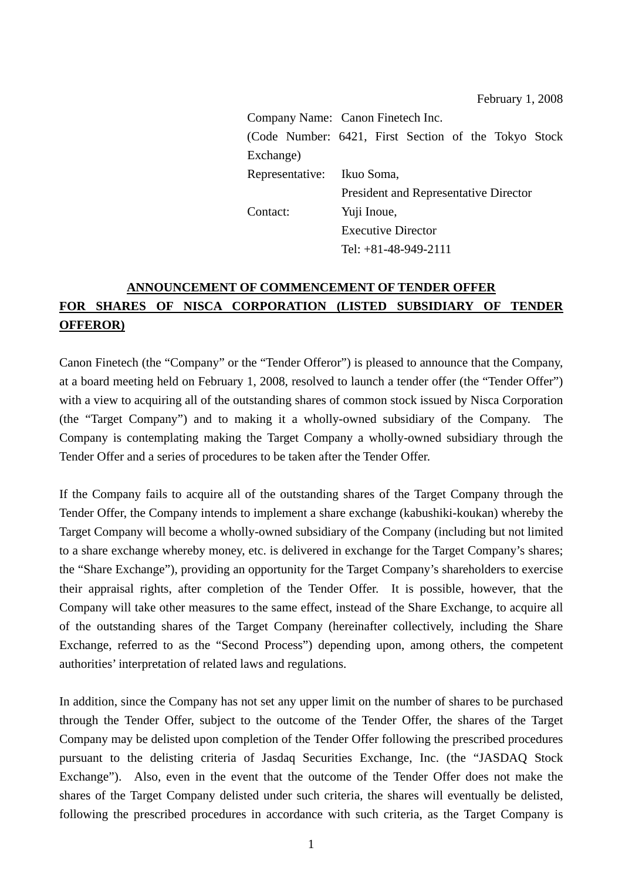|                                                       |  | Company Name: Canon Finetech Inc. |  |                                              |  |  |  |  |
|-------------------------------------------------------|--|-----------------------------------|--|----------------------------------------------|--|--|--|--|
| (Code Number: 6421, First Section of the Tokyo Stock) |  |                                   |  |                                              |  |  |  |  |
| Exchange)                                             |  |                                   |  |                                              |  |  |  |  |
| Representative: Ikuo Soma,                            |  |                                   |  |                                              |  |  |  |  |
|                                                       |  |                                   |  | <b>President and Representative Director</b> |  |  |  |  |
| Contact:                                              |  | Yuji Inoue,                       |  |                                              |  |  |  |  |
|                                                       |  | <b>Executive Director</b>         |  |                                              |  |  |  |  |
|                                                       |  |                                   |  | Tel: $+81-48-949-2111$                       |  |  |  |  |

# **ANNOUNCEMENT OF COMMENCEMENT OF TENDER OFFER FOR SHARES OF NISCA CORPORATION (LISTED SUBSIDIARY OF TENDER OFFEROR)**

Canon Finetech (the "Company" or the "Tender Offeror") is pleased to announce that the Company, at a board meeting held on February 1, 2008, resolved to launch a tender offer (the "Tender Offer") with a view to acquiring all of the outstanding shares of common stock issued by Nisca Corporation (the "Target Company") and to making it a wholly-owned subsidiary of the Company. The Company is contemplating making the Target Company a wholly-owned subsidiary through the Tender Offer and a series of procedures to be taken after the Tender Offer.

If the Company fails to acquire all of the outstanding shares of the Target Company through the Tender Offer, the Company intends to implement a share exchange (kabushiki-koukan) whereby the Target Company will become a wholly-owned subsidiary of the Company (including but not limited to a share exchange whereby money, etc. is delivered in exchange for the Target Company's shares; the "Share Exchange"), providing an opportunity for the Target Company's shareholders to exercise their appraisal rights, after completion of the Tender Offer. It is possible, however, that the Company will take other measures to the same effect, instead of the Share Exchange, to acquire all of the outstanding shares of the Target Company (hereinafter collectively, including the Share Exchange, referred to as the "Second Process") depending upon, among others, the competent authorities' interpretation of related laws and regulations.

In addition, since the Company has not set any upper limit on the number of shares to be purchased through the Tender Offer, subject to the outcome of the Tender Offer, the shares of the Target Company may be delisted upon completion of the Tender Offer following the prescribed procedures pursuant to the delisting criteria of Jasdaq Securities Exchange, Inc. (the "JASDAQ Stock Exchange"). Also, even in the event that the outcome of the Tender Offer does not make the shares of the Target Company delisted under such criteria, the shares will eventually be delisted, following the prescribed procedures in accordance with such criteria, as the Target Company is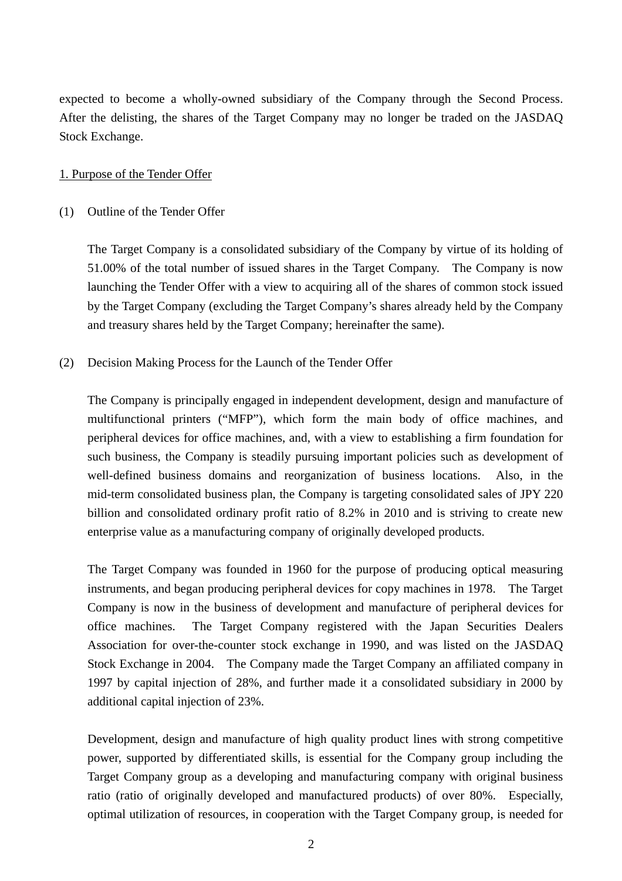expected to become a wholly-owned subsidiary of the Company through the Second Process. After the delisting, the shares of the Target Company may no longer be traded on the JASDAQ Stock Exchange.

### 1. Purpose of the Tender Offer

#### (1) Outline of the Tender Offer

The Target Company is a consolidated subsidiary of the Company by virtue of its holding of 51.00% of the total number of issued shares in the Target Company. The Company is now launching the Tender Offer with a view to acquiring all of the shares of common stock issued by the Target Company (excluding the Target Company's shares already held by the Company and treasury shares held by the Target Company; hereinafter the same).

### (2) Decision Making Process for the Launch of the Tender Offer

The Company is principally engaged in independent development, design and manufacture of multifunctional printers ("MFP"), which form the main body of office machines, and peripheral devices for office machines, and, with a view to establishing a firm foundation for such business, the Company is steadily pursuing important policies such as development of well-defined business domains and reorganization of business locations. Also, in the mid-term consolidated business plan, the Company is targeting consolidated sales of JPY 220 billion and consolidated ordinary profit ratio of 8.2% in 2010 and is striving to create new enterprise value as a manufacturing company of originally developed products.

The Target Company was founded in 1960 for the purpose of producing optical measuring instruments, and began producing peripheral devices for copy machines in 1978. The Target Company is now in the business of development and manufacture of peripheral devices for office machines. The Target Company registered with the Japan Securities Dealers Association for over-the-counter stock exchange in 1990, and was listed on the JASDAQ Stock Exchange in 2004. The Company made the Target Company an affiliated company in 1997 by capital injection of 28%, and further made it a consolidated subsidiary in 2000 by additional capital injection of 23%.

Development, design and manufacture of high quality product lines with strong competitive power, supported by differentiated skills, is essential for the Company group including the Target Company group as a developing and manufacturing company with original business ratio (ratio of originally developed and manufactured products) of over 80%. Especially, optimal utilization of resources, in cooperation with the Target Company group, is needed for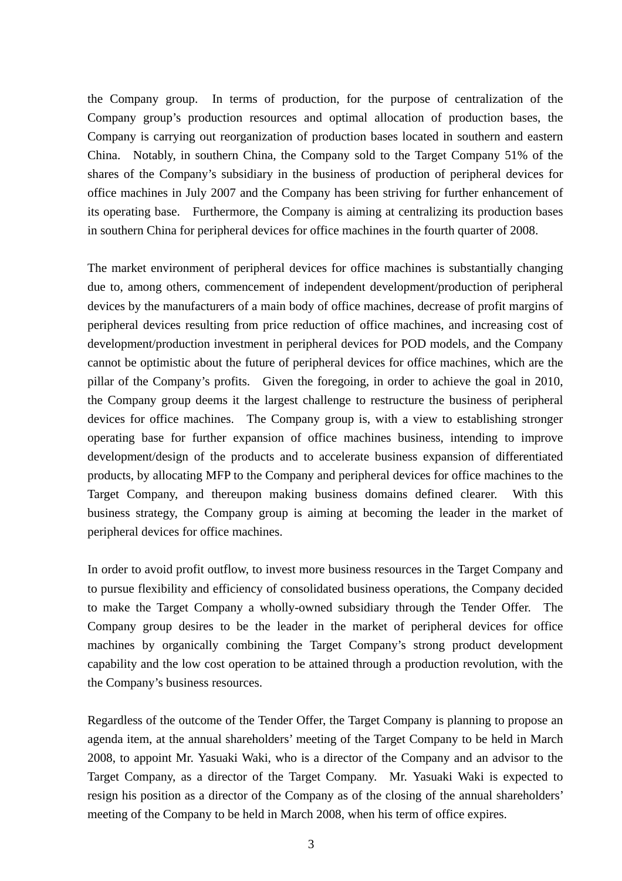the Company group. In terms of production, for the purpose of centralization of the Company group's production resources and optimal allocation of production bases, the Company is carrying out reorganization of production bases located in southern and eastern China. Notably, in southern China, the Company sold to the Target Company 51% of the shares of the Company's subsidiary in the business of production of peripheral devices for office machines in July 2007 and the Company has been striving for further enhancement of its operating base. Furthermore, the Company is aiming at centralizing its production bases in southern China for peripheral devices for office machines in the fourth quarter of 2008.

The market environment of peripheral devices for office machines is substantially changing due to, among others, commencement of independent development/production of peripheral devices by the manufacturers of a main body of office machines, decrease of profit margins of peripheral devices resulting from price reduction of office machines, and increasing cost of development/production investment in peripheral devices for POD models, and the Company cannot be optimistic about the future of peripheral devices for office machines, which are the pillar of the Company's profits. Given the foregoing, in order to achieve the goal in 2010, the Company group deems it the largest challenge to restructure the business of peripheral devices for office machines. The Company group is, with a view to establishing stronger operating base for further expansion of office machines business, intending to improve development/design of the products and to accelerate business expansion of differentiated products, by allocating MFP to the Company and peripheral devices for office machines to the Target Company, and thereupon making business domains defined clearer. With this business strategy, the Company group is aiming at becoming the leader in the market of peripheral devices for office machines.

In order to avoid profit outflow, to invest more business resources in the Target Company and to pursue flexibility and efficiency of consolidated business operations, the Company decided to make the Target Company a wholly-owned subsidiary through the Tender Offer. The Company group desires to be the leader in the market of peripheral devices for office machines by organically combining the Target Company's strong product development capability and the low cost operation to be attained through a production revolution, with the the Company's business resources.

Regardless of the outcome of the Tender Offer, the Target Company is planning to propose an agenda item, at the annual shareholders' meeting of the Target Company to be held in March 2008, to appoint Mr. Yasuaki Waki, who is a director of the Company and an advisor to the Target Company, as a director of the Target Company. Mr. Yasuaki Waki is expected to resign his position as a director of the Company as of the closing of the annual shareholders' meeting of the Company to be held in March 2008, when his term of office expires.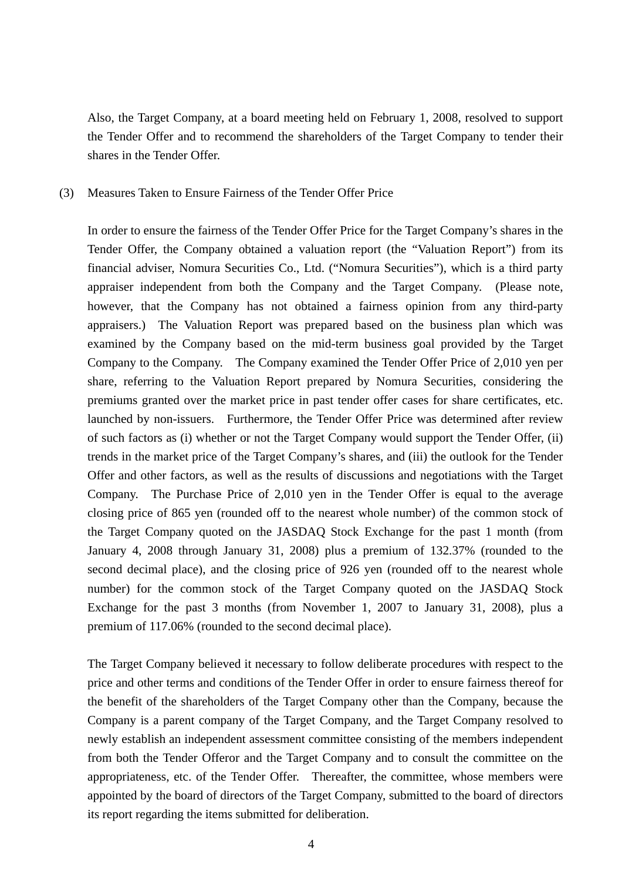Also, the Target Company, at a board meeting held on February 1, 2008, resolved to support the Tender Offer and to recommend the shareholders of the Target Company to tender their shares in the Tender Offer.

(3) Measures Taken to Ensure Fairness of the Tender Offer Price

In order to ensure the fairness of the Tender Offer Price for the Target Company's shares in the Tender Offer, the Company obtained a valuation report (the "Valuation Report") from its financial adviser, Nomura Securities Co., Ltd. ("Nomura Securities"), which is a third party appraiser independent from both the Company and the Target Company. (Please note, however, that the Company has not obtained a fairness opinion from any third-party appraisers.) The Valuation Report was prepared based on the business plan which was examined by the Company based on the mid-term business goal provided by the Target Company to the Company. The Company examined the Tender Offer Price of 2,010 yen per share, referring to the Valuation Report prepared by Nomura Securities, considering the premiums granted over the market price in past tender offer cases for share certificates, etc. launched by non-issuers. Furthermore, the Tender Offer Price was determined after review of such factors as (i) whether or not the Target Company would support the Tender Offer, (ii) trends in the market price of the Target Company's shares, and (iii) the outlook for the Tender Offer and other factors, as well as the results of discussions and negotiations with the Target Company. The Purchase Price of 2,010 yen in the Tender Offer is equal to the average closing price of 865 yen (rounded off to the nearest whole number) of the common stock of the Target Company quoted on the JASDAQ Stock Exchange for the past 1 month (from January 4, 2008 through January 31, 2008) plus a premium of 132.37% (rounded to the second decimal place), and the closing price of 926 yen (rounded off to the nearest whole number) for the common stock of the Target Company quoted on the JASDAQ Stock Exchange for the past 3 months (from November 1, 2007 to January 31, 2008), plus a premium of 117.06% (rounded to the second decimal place).

The Target Company believed it necessary to follow deliberate procedures with respect to the price and other terms and conditions of the Tender Offer in order to ensure fairness thereof for the benefit of the shareholders of the Target Company other than the Company, because the Company is a parent company of the Target Company, and the Target Company resolved to newly establish an independent assessment committee consisting of the members independent from both the Tender Offeror and the Target Company and to consult the committee on the appropriateness, etc. of the Tender Offer. Thereafter, the committee, whose members were appointed by the board of directors of the Target Company, submitted to the board of directors its report regarding the items submitted for deliberation.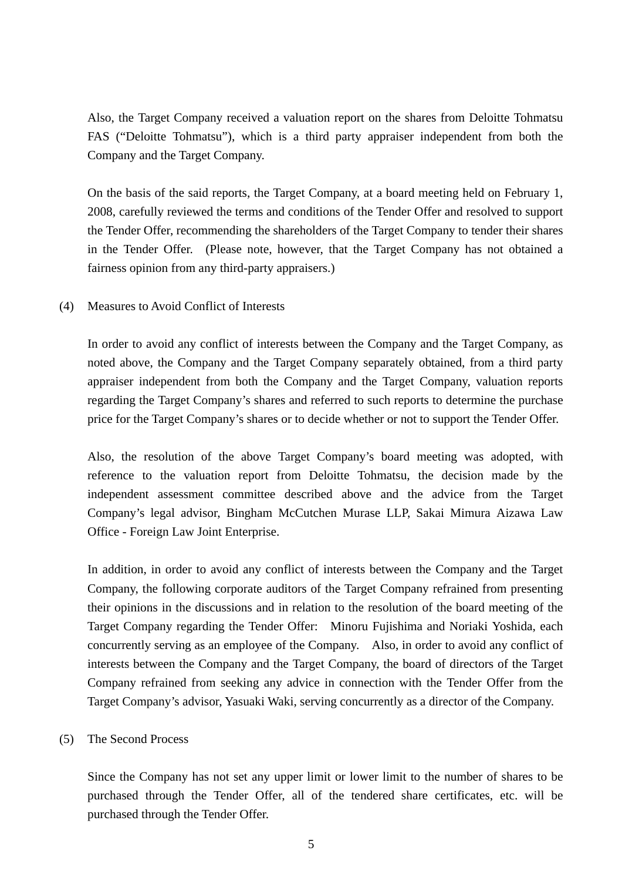Also, the Target Company received a valuation report on the shares from Deloitte Tohmatsu FAS ("Deloitte Tohmatsu"), which is a third party appraiser independent from both the Company and the Target Company.

On the basis of the said reports, the Target Company, at a board meeting held on February 1, 2008, carefully reviewed the terms and conditions of the Tender Offer and resolved to support the Tender Offer, recommending the shareholders of the Target Company to tender their shares in the Tender Offer. (Please note, however, that the Target Company has not obtained a fairness opinion from any third-party appraisers.)

(4) Measures to Avoid Conflict of Interests

In order to avoid any conflict of interests between the Company and the Target Company, as noted above, the Company and the Target Company separately obtained, from a third party appraiser independent from both the Company and the Target Company, valuation reports regarding the Target Company's shares and referred to such reports to determine the purchase price for the Target Company's shares or to decide whether or not to support the Tender Offer.

Also, the resolution of the above Target Company's board meeting was adopted, with reference to the valuation report from Deloitte Tohmatsu, the decision made by the independent assessment committee described above and the advice from the Target Company's legal advisor, Bingham McCutchen Murase LLP, Sakai Mimura Aizawa Law Office - Foreign Law Joint Enterprise.

In addition, in order to avoid any conflict of interests between the Company and the Target Company, the following corporate auditors of the Target Company refrained from presenting their opinions in the discussions and in relation to the resolution of the board meeting of the Target Company regarding the Tender Offer: Minoru Fujishima and Noriaki Yoshida, each concurrently serving as an employee of the Company. Also, in order to avoid any conflict of interests between the Company and the Target Company, the board of directors of the Target Company refrained from seeking any advice in connection with the Tender Offer from the Target Company's advisor, Yasuaki Waki, serving concurrently as a director of the Company.

## (5) The Second Process

Since the Company has not set any upper limit or lower limit to the number of shares to be purchased through the Tender Offer, all of the tendered share certificates, etc. will be purchased through the Tender Offer.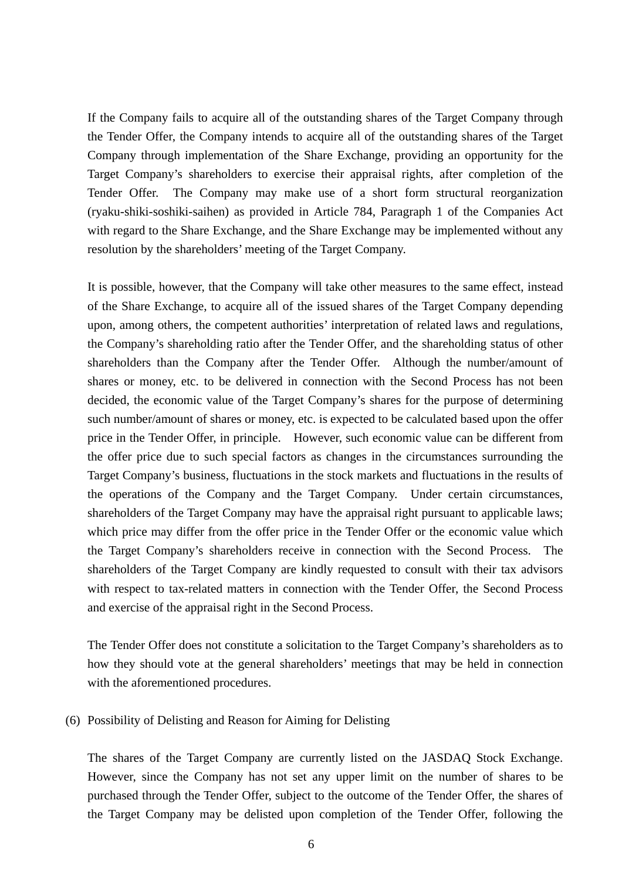If the Company fails to acquire all of the outstanding shares of the Target Company through the Tender Offer, the Company intends to acquire all of the outstanding shares of the Target Company through implementation of the Share Exchange, providing an opportunity for the Target Company's shareholders to exercise their appraisal rights, after completion of the Tender Offer. The Company may make use of a short form structural reorganization (ryaku-shiki-soshiki-saihen) as provided in Article 784, Paragraph 1 of the Companies Act with regard to the Share Exchange, and the Share Exchange may be implemented without any resolution by the shareholders' meeting of the Target Company.

It is possible, however, that the Company will take other measures to the same effect, instead of the Share Exchange, to acquire all of the issued shares of the Target Company depending upon, among others, the competent authorities' interpretation of related laws and regulations, the Company's shareholding ratio after the Tender Offer, and the shareholding status of other shareholders than the Company after the Tender Offer. Although the number/amount of shares or money, etc. to be delivered in connection with the Second Process has not been decided, the economic value of the Target Company's shares for the purpose of determining such number/amount of shares or money, etc. is expected to be calculated based upon the offer price in the Tender Offer, in principle. However, such economic value can be different from the offer price due to such special factors as changes in the circumstances surrounding the Target Company's business, fluctuations in the stock markets and fluctuations in the results of the operations of the Company and the Target Company. Under certain circumstances, shareholders of the Target Company may have the appraisal right pursuant to applicable laws; which price may differ from the offer price in the Tender Offer or the economic value which the Target Company's shareholders receive in connection with the Second Process. The shareholders of the Target Company are kindly requested to consult with their tax advisors with respect to tax-related matters in connection with the Tender Offer, the Second Process and exercise of the appraisal right in the Second Process.

The Tender Offer does not constitute a solicitation to the Target Company's shareholders as to how they should vote at the general shareholders' meetings that may be held in connection with the aforementioned procedures.

#### (6) Possibility of Delisting and Reason for Aiming for Delisting

The shares of the Target Company are currently listed on the JASDAQ Stock Exchange. However, since the Company has not set any upper limit on the number of shares to be purchased through the Tender Offer, subject to the outcome of the Tender Offer, the shares of the Target Company may be delisted upon completion of the Tender Offer, following the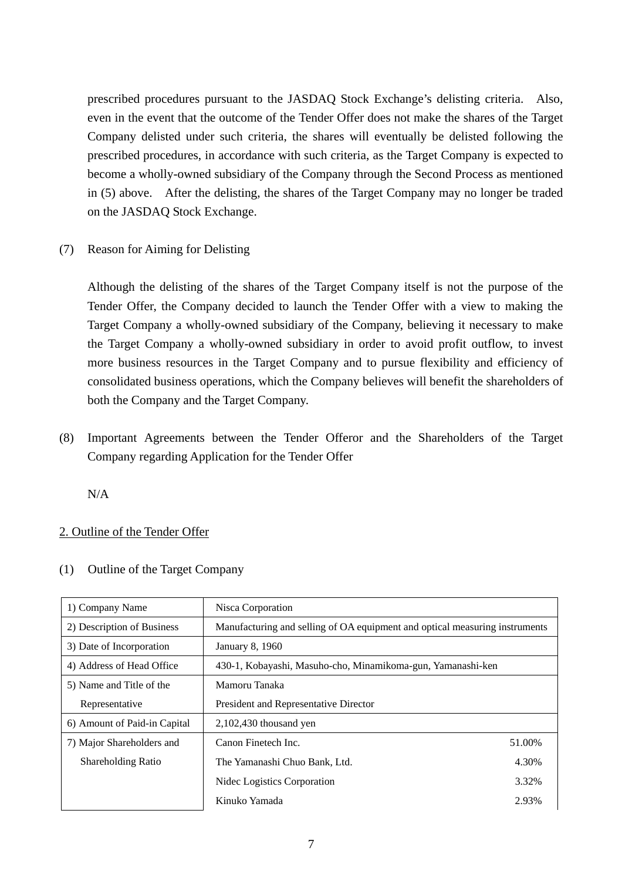prescribed procedures pursuant to the JASDAQ Stock Exchange's delisting criteria. Also, even in the event that the outcome of the Tender Offer does not make the shares of the Target Company delisted under such criteria, the shares will eventually be delisted following the prescribed procedures, in accordance with such criteria, as the Target Company is expected to become a wholly-owned subsidiary of the Company through the Second Process as mentioned in (5) above. After the delisting, the shares of the Target Company may no longer be traded on the JASDAQ Stock Exchange.

(7) Reason for Aiming for Delisting

Although the delisting of the shares of the Target Company itself is not the purpose of the Tender Offer, the Company decided to launch the Tender Offer with a view to making the Target Company a wholly-owned subsidiary of the Company, believing it necessary to make the Target Company a wholly-owned subsidiary in order to avoid profit outflow, to invest more business resources in the Target Company and to pursue flexibility and efficiency of consolidated business operations, which the Company believes will benefit the shareholders of both the Company and the Target Company.

(8) Important Agreements between the Tender Offeror and the Shareholders of the Target Company regarding Application for the Tender Offer

N/A

## 2. Outline of the Tender Offer

|  | (1) Outline of the Target Company |  |
|--|-----------------------------------|--|
|--|-----------------------------------|--|

| 1) Company Name              | Nisca Corporation                                                           |        |  |
|------------------------------|-----------------------------------------------------------------------------|--------|--|
| 2) Description of Business   | Manufacturing and selling of OA equipment and optical measuring instruments |        |  |
| 3) Date of Incorporation     | January 8, 1960                                                             |        |  |
| 4) Address of Head Office    | 430-1, Kobayashi, Masuho-cho, Minamikoma-gun, Yamanashi-ken                 |        |  |
| 5) Name and Title of the     | Mamoru Tanaka                                                               |        |  |
| Representative               | President and Representative Director                                       |        |  |
| 6) Amount of Paid-in Capital | 2,102,430 thousand yen                                                      |        |  |
| 7) Major Shareholders and    | Canon Finetech Inc.                                                         | 51.00% |  |
| <b>Shareholding Ratio</b>    | The Yamanashi Chuo Bank, Ltd.                                               | 4.30%  |  |
|                              | Nidec Logistics Corporation                                                 | 3.32%  |  |
|                              | Kinuko Yamada                                                               | 2.93%  |  |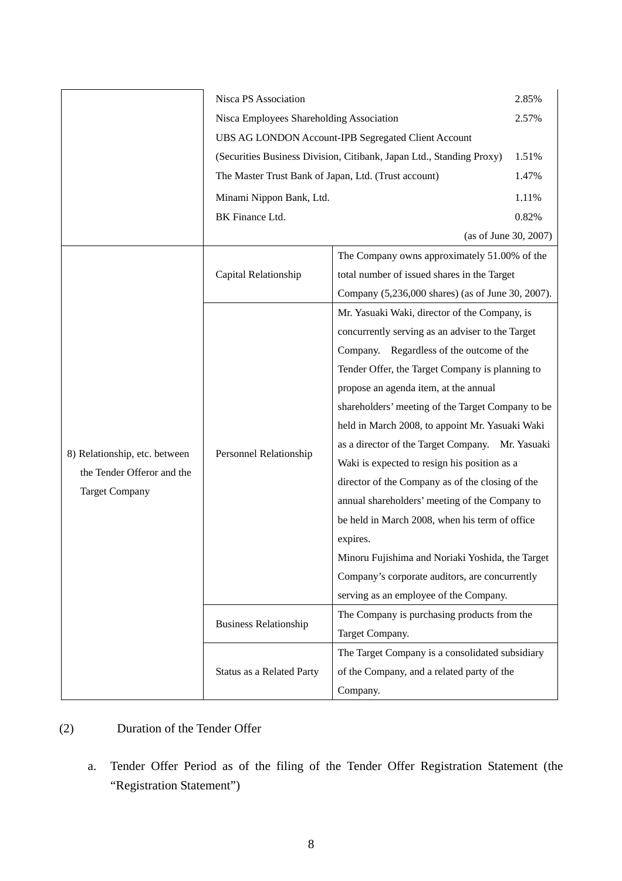|                               | Nisca PS Association                                                 |                                                   | 2.85%                 |  |
|-------------------------------|----------------------------------------------------------------------|---------------------------------------------------|-----------------------|--|
|                               | Nisca Employees Shareholding Association                             |                                                   |                       |  |
|                               | UBS AG LONDON Account-IPB Segregated Client Account                  |                                                   |                       |  |
|                               | (Securities Business Division, Citibank, Japan Ltd., Standing Proxy) |                                                   |                       |  |
|                               | The Master Trust Bank of Japan, Ltd. (Trust account)                 |                                                   | 1.47%                 |  |
|                               | Minami Nippon Bank, Ltd.                                             |                                                   | 1.11%                 |  |
|                               | BK Finance Ltd.                                                      |                                                   | 0.82%                 |  |
|                               |                                                                      |                                                   | (as of June 30, 2007) |  |
|                               |                                                                      | The Company owns approximately 51.00% of the      |                       |  |
|                               | Capital Relationship                                                 | total number of issued shares in the Target       |                       |  |
|                               |                                                                      | Company (5,236,000 shares) (as of June 30, 2007). |                       |  |
|                               |                                                                      | Mr. Yasuaki Waki, director of the Company, is     |                       |  |
|                               |                                                                      | concurrently serving as an adviser to the Target  |                       |  |
|                               |                                                                      | Company. Regardless of the outcome of the         |                       |  |
|                               |                                                                      | Tender Offer, the Target Company is planning to   |                       |  |
|                               |                                                                      | propose an agenda item, at the annual             |                       |  |
|                               | Personnel Relationship                                               | shareholders' meeting of the Target Company to be |                       |  |
|                               |                                                                      | held in March 2008, to appoint Mr. Yasuaki Waki   |                       |  |
|                               |                                                                      | as a director of the Target Company. Mr. Yasuaki  |                       |  |
| 8) Relationship, etc. between |                                                                      | Waki is expected to resign his position as a      |                       |  |
| the Tender Offeror and the    |                                                                      | director of the Company as of the closing of the  |                       |  |
| <b>Target Company</b>         |                                                                      | annual shareholders' meeting of the Company to    |                       |  |
|                               |                                                                      | be held in March 2008, when his term of office    |                       |  |
|                               |                                                                      | expires.                                          |                       |  |
|                               |                                                                      | Minoru Fujishima and Noriaki Yoshida, the Target  |                       |  |
|                               |                                                                      | Company's corporate auditors, are concurrently    |                       |  |
|                               |                                                                      | serving as an employee of the Company.            |                       |  |
|                               |                                                                      | The Company is purchasing products from the       |                       |  |
|                               | <b>Business Relationship</b>                                         | Target Company.                                   |                       |  |
|                               |                                                                      | The Target Company is a consolidated subsidiary   |                       |  |
|                               | Status as a Related Party                                            | of the Company, and a related party of the        |                       |  |
|                               |                                                                      | Company.                                          |                       |  |

## (2) Duration of the Tender Offer

 a. Tender Offer Period as of the filing of the Tender Offer Registration Statement (the "Registration Statement")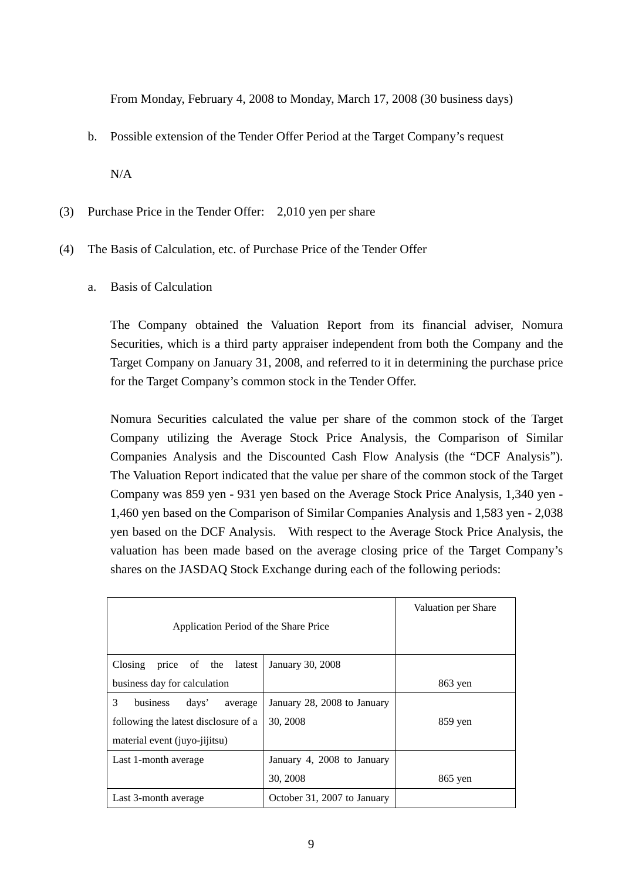From Monday, February 4, 2008 to Monday, March 17, 2008 (30 business days)

b. Possible extension of the Tender Offer Period at the Target Company's request

N/A

- (3) Purchase Price in the Tender Offer: 2,010 yen per share
- (4) The Basis of Calculation, etc. of Purchase Price of the Tender Offer
	- a. Basis of Calculation

 The Company obtained the Valuation Report from its financial adviser, Nomura Securities, which is a third party appraiser independent from both the Company and the Target Company on January 31, 2008, and referred to it in determining the purchase price for the Target Company's common stock in the Tender Offer.

 Nomura Securities calculated the value per share of the common stock of the Target Company utilizing the Average Stock Price Analysis, the Comparison of Similar Companies Analysis and the Discounted Cash Flow Analysis (the "DCF Analysis"). The Valuation Report indicated that the value per share of the common stock of the Target Company was 859 yen - 931 yen based on the Average Stock Price Analysis, 1,340 yen - 1,460 yen based on the Comparison of Similar Companies Analysis and 1,583 yen - 2,038 yen based on the DCF Analysis. With respect to the Average Stock Price Analysis, the valuation has been made based on the average closing price of the Target Company's shares on the JASDAQ Stock Exchange during each of the following periods:

| Application Period of the Share Price | Valuation per Share         |           |
|---------------------------------------|-----------------------------|-----------|
| Closing price of the<br>latest        | January 30, 2008            |           |
| business day for calculation          |                             | 863 yen   |
| 3<br>business<br>days'<br>average     | January 28, 2008 to January |           |
| following the latest disclosure of a  | 30, 2008                    | $859$ yen |
| material event (juyo-jijitsu)         |                             |           |
| Last 1-month average                  | January 4, 2008 to January  |           |
|                                       | 30, 2008                    | $865$ yen |
| Last 3-month average                  | October 31, 2007 to January |           |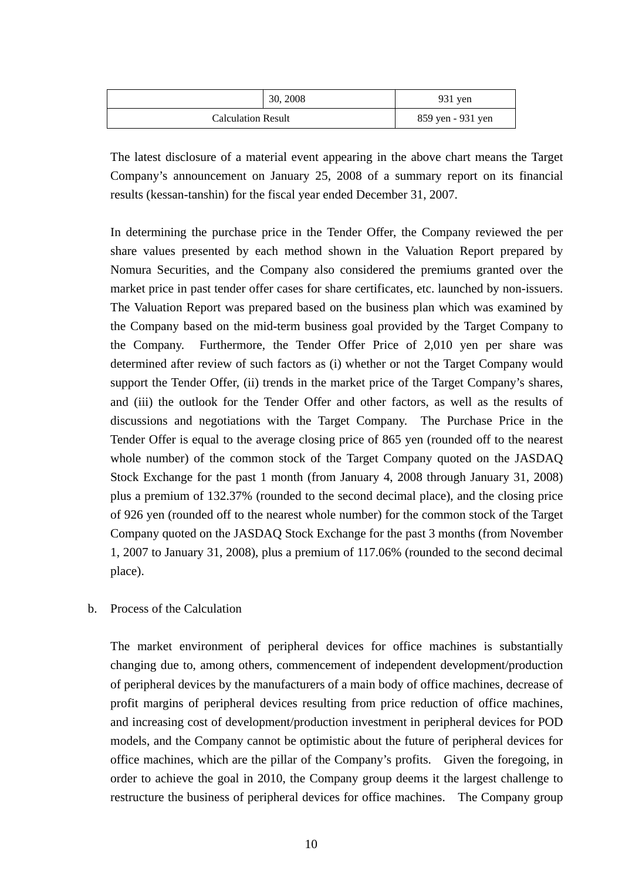|                           | 30, 2008 | $931$ yen         |
|---------------------------|----------|-------------------|
| <b>Calculation Result</b> |          | 859 yen - 931 yen |

 The latest disclosure of a material event appearing in the above chart means the Target Company's announcement on January 25, 2008 of a summary report on its financial results (kessan-tanshin) for the fiscal year ended December 31, 2007.

 In determining the purchase price in the Tender Offer, the Company reviewed the per share values presented by each method shown in the Valuation Report prepared by Nomura Securities, and the Company also considered the premiums granted over the market price in past tender offer cases for share certificates, etc. launched by non-issuers. The Valuation Report was prepared based on the business plan which was examined by the Company based on the mid-term business goal provided by the Target Company to the Company. Furthermore, the Tender Offer Price of 2,010 yen per share was determined after review of such factors as (i) whether or not the Target Company would support the Tender Offer, (ii) trends in the market price of the Target Company's shares, and (iii) the outlook for the Tender Offer and other factors, as well as the results of discussions and negotiations with the Target Company. The Purchase Price in the Tender Offer is equal to the average closing price of 865 yen (rounded off to the nearest whole number) of the common stock of the Target Company quoted on the JASDAQ Stock Exchange for the past 1 month (from January 4, 2008 through January 31, 2008) plus a premium of 132.37% (rounded to the second decimal place), and the closing price of 926 yen (rounded off to the nearest whole number) for the common stock of the Target Company quoted on the JASDAQ Stock Exchange for the past 3 months (from November 1, 2007 to January 31, 2008), plus a premium of 117.06% (rounded to the second decimal place).

### b. Process of the Calculation

 The market environment of peripheral devices for office machines is substantially changing due to, among others, commencement of independent development/production of peripheral devices by the manufacturers of a main body of office machines, decrease of profit margins of peripheral devices resulting from price reduction of office machines, and increasing cost of development/production investment in peripheral devices for POD models, and the Company cannot be optimistic about the future of peripheral devices for office machines, which are the pillar of the Company's profits. Given the foregoing, in order to achieve the goal in 2010, the Company group deems it the largest challenge to restructure the business of peripheral devices for office machines. The Company group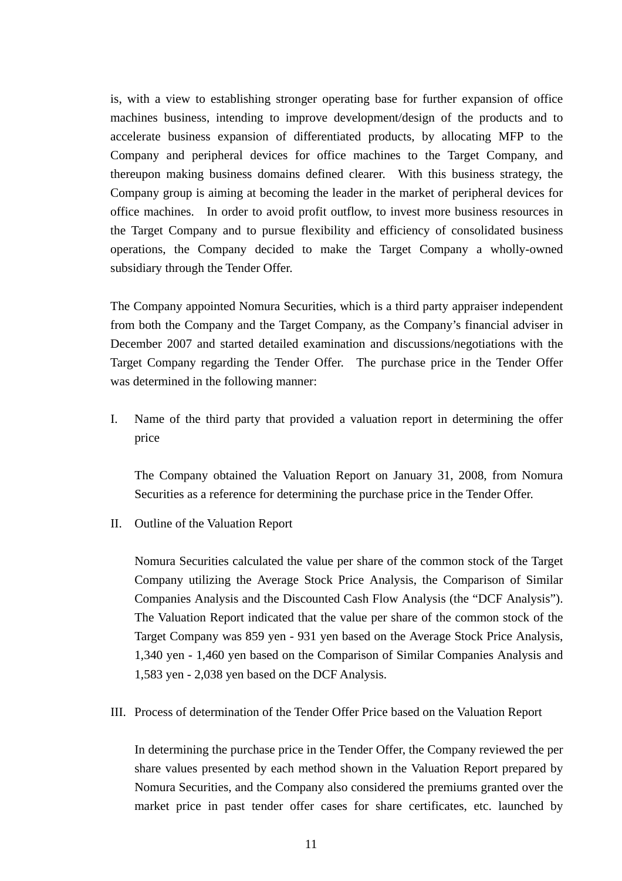is, with a view to establishing stronger operating base for further expansion of office machines business, intending to improve development/design of the products and to accelerate business expansion of differentiated products, by allocating MFP to the Company and peripheral devices for office machines to the Target Company, and thereupon making business domains defined clearer. With this business strategy, the Company group is aiming at becoming the leader in the market of peripheral devices for office machines. In order to avoid profit outflow, to invest more business resources in the Target Company and to pursue flexibility and efficiency of consolidated business operations, the Company decided to make the Target Company a wholly-owned subsidiary through the Tender Offer.

 The Company appointed Nomura Securities, which is a third party appraiser independent from both the Company and the Target Company, as the Company's financial adviser in December 2007 and started detailed examination and discussions/negotiations with the Target Company regarding the Tender Offer. The purchase price in the Tender Offer was determined in the following manner:

 I. Name of the third party that provided a valuation report in determining the offer price

 The Company obtained the Valuation Report on January 31, 2008, from Nomura Securities as a reference for determining the purchase price in the Tender Offer.

II. Outline of the Valuation Report

 Nomura Securities calculated the value per share of the common stock of the Target Company utilizing the Average Stock Price Analysis, the Comparison of Similar Companies Analysis and the Discounted Cash Flow Analysis (the "DCF Analysis"). The Valuation Report indicated that the value per share of the common stock of the Target Company was 859 yen - 931 yen based on the Average Stock Price Analysis, 1,340 yen - 1,460 yen based on the Comparison of Similar Companies Analysis and 1,583 yen - 2,038 yen based on the DCF Analysis.

III. Process of determination of the Tender Offer Price based on the Valuation Report

 In determining the purchase price in the Tender Offer, the Company reviewed the per share values presented by each method shown in the Valuation Report prepared by Nomura Securities, and the Company also considered the premiums granted over the market price in past tender offer cases for share certificates, etc. launched by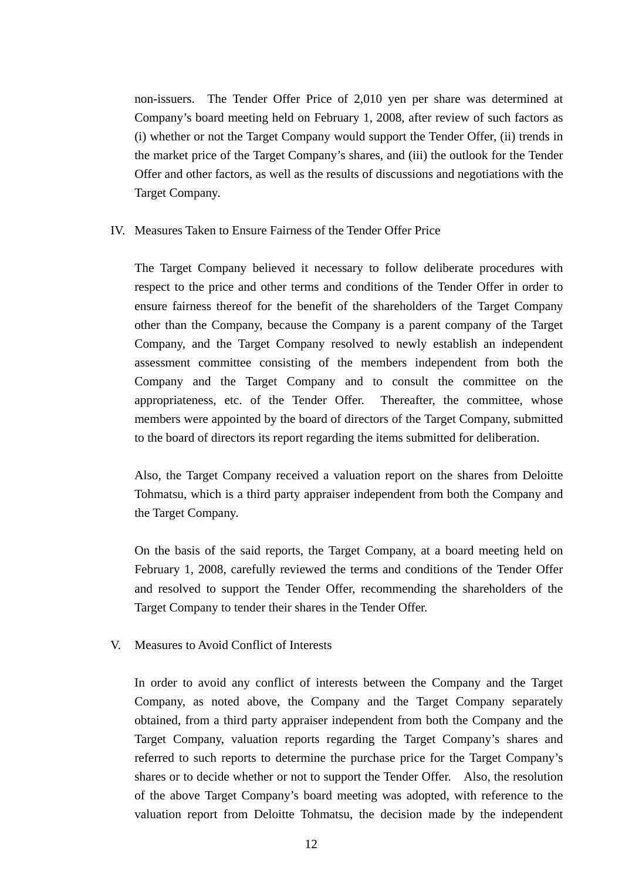non-issuers. The Tender Offer Price of 2,010 yen per share was determined at Company's board meeting held on February 1, 2008, after review of such factors as (i) whether or not the Target Company would support the Tender Offer, (ii) trends in the market price of the Target Company's shares, and (iii) the outlook for the Tender Offer and other factors, as well as the results of discussions and negotiations with the Target Company.

### IV. Measures Taken to Ensure Fairness of the Tender Offer Price

 The Target Company believed it necessary to follow deliberate procedures with respect to the price and other terms and conditions of the Tender Offer in order to ensure fairness thereof for the benefit of the shareholders of the Target Company other than the Company, because the Company is a parent company of the Target Company, and the Target Company resolved to newly establish an independent assessment committee consisting of the members independent from both the Company and the Target Company and to consult the committee on the appropriateness, etc. of the Tender Offer. Thereafter, the committee, whose members were appointed by the board of directors of the Target Company, submitted to the board of directors its report regarding the items submitted for deliberation.

 Also, the Target Company received a valuation report on the shares from Deloitte Tohmatsu, which is a third party appraiser independent from both the Company and the Target Company.

 On the basis of the said reports, the Target Company, at a board meeting held on February 1, 2008, carefully reviewed the terms and conditions of the Tender Offer and resolved to support the Tender Offer, recommending the shareholders of the Target Company to tender their shares in the Tender Offer.

V. Measures to Avoid Conflict of Interests

 In order to avoid any conflict of interests between the Company and the Target Company, as noted above, the Company and the Target Company separately obtained, from a third party appraiser independent from both the Company and the Target Company, valuation reports regarding the Target Company's shares and referred to such reports to determine the purchase price for the Target Company's shares or to decide whether or not to support the Tender Offer. Also, the resolution of the above Target Company's board meeting was adopted, with reference to the valuation report from Deloitte Tohmatsu, the decision made by the independent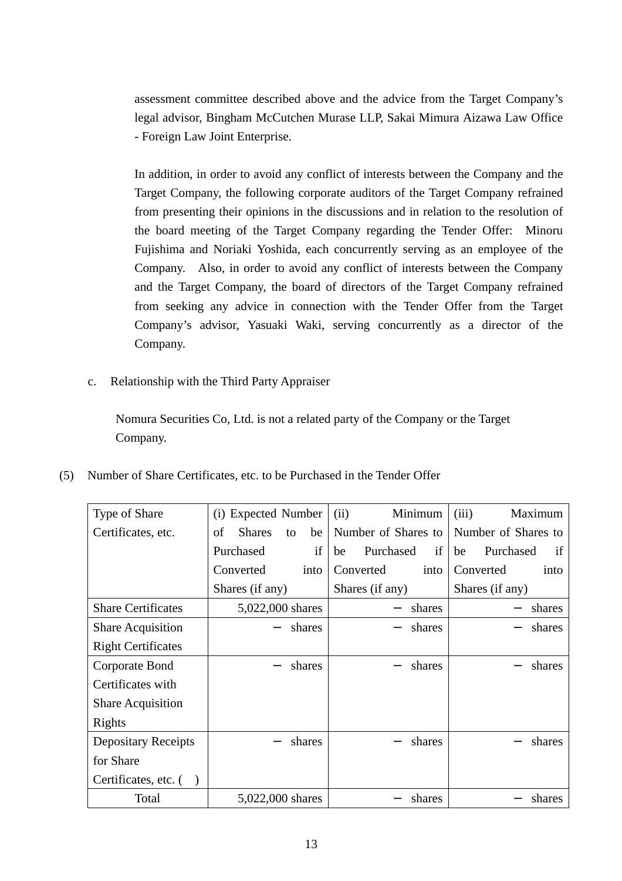assessment committee described above and the advice from the Target Company's legal advisor, Bingham McCutchen Murase LLP, Sakai Mimura Aizawa Law Office - Foreign Law Joint Enterprise.

 In addition, in order to avoid any conflict of interests between the Company and the Target Company, the following corporate auditors of the Target Company refrained from presenting their opinions in the discussions and in relation to the resolution of the board meeting of the Target Company regarding the Tender Offer: Minoru Fujishima and Noriaki Yoshida, each concurrently serving as an employee of the Company. Also, in order to avoid any conflict of interests between the Company and the Target Company, the board of directors of the Target Company refrained from seeking any advice in connection with the Tender Offer from the Target Company's advisor, Yasuaki Waki, serving concurrently as a director of the Company.

c. Relationship with the Third Party Appraiser

 Nomura Securities Co, Ltd. is not a related party of the Company or the Target Company.

| (5) Number of Share Certificates, etc. to be Purchased in the Tender Offer |  |
|----------------------------------------------------------------------------|--|
|                                                                            |  |

| Type of Share              | (i) Expected Number             | Minimum<br>(ii)       | Maximum<br>(iii)      |
|----------------------------|---------------------------------|-----------------------|-----------------------|
| Certificates, etc.         | <b>Shares</b><br>οf<br>be<br>to | Number of Shares to   | Number of Shares to   |
|                            | if<br>Purchased                 | Purchased<br>if<br>be | Purchased<br>if<br>be |
|                            | Converted<br>into               | Converted<br>into     | Converted<br>into     |
|                            | Shares (if any)                 | Shares (if any)       | Shares (if any)       |
| <b>Share Certificates</b>  | 5,022,000 shares                | shares                | shares                |
| <b>Share Acquisition</b>   | shares                          | shares                | shares                |
| <b>Right Certificates</b>  |                                 |                       |                       |
| Corporate Bond             | shares                          | shares                | shares                |
| Certificates with          |                                 |                       |                       |
| <b>Share Acquisition</b>   |                                 |                       |                       |
| Rights                     |                                 |                       |                       |
| <b>Depositary Receipts</b> | shares                          | shares                | shares                |
| for Share                  |                                 |                       |                       |
| Certificates, etc. $( )$   |                                 |                       |                       |
| Total                      | 5,022,000 shares                | shares                | shares                |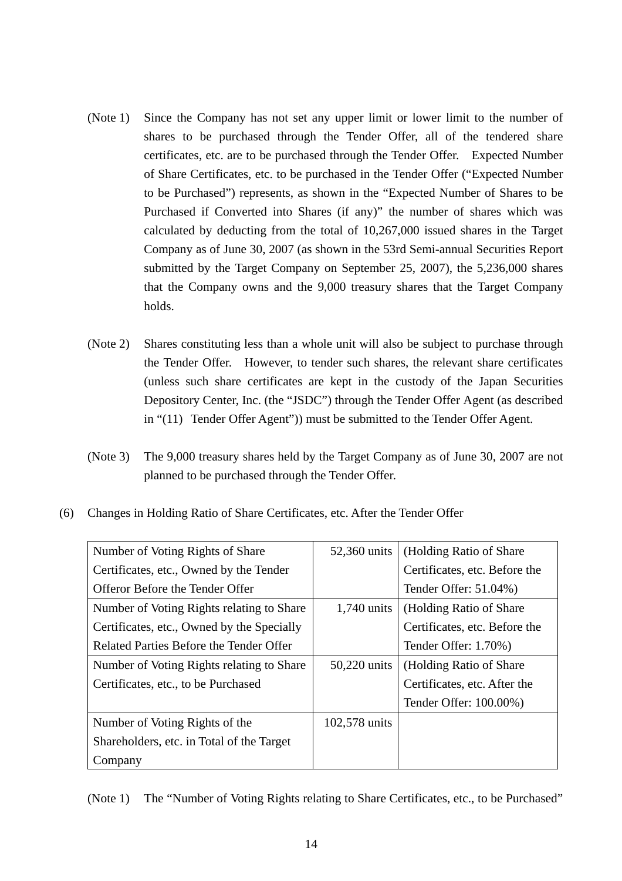- (Note 1) Since the Company has not set any upper limit or lower limit to the number of shares to be purchased through the Tender Offer, all of the tendered share certificates, etc. are to be purchased through the Tender Offer. Expected Number of Share Certificates, etc. to be purchased in the Tender Offer ("Expected Number to be Purchased") represents, as shown in the "Expected Number of Shares to be Purchased if Converted into Shares (if any)" the number of shares which was calculated by deducting from the total of 10,267,000 issued shares in the Target Company as of June 30, 2007 (as shown in the 53rd Semi-annual Securities Report submitted by the Target Company on September 25, 2007), the 5,236,000 shares that the Company owns and the 9,000 treasury shares that the Target Company holds.
- (Note 2) Shares constituting less than a whole unit will also be subject to purchase through the Tender Offer. However, to tender such shares, the relevant share certificates (unless such share certificates are kept in the custody of the Japan Securities Depository Center, Inc. (the "JSDC") through the Tender Offer Agent (as described in "(11) Tender Offer Agent")) must be submitted to the Tender Offer Agent.
- (Note 3) The 9,000 treasury shares held by the Target Company as of June 30, 2007 are not planned to be purchased through the Tender Offer.
- (6) Changes in Holding Ratio of Share Certificates, etc. After the Tender Offer

| Number of Voting Rights of Share           | 52,360 units  | (Holding Ratio of Share)      |
|--------------------------------------------|---------------|-------------------------------|
| Certificates, etc., Owned by the Tender    |               | Certificates, etc. Before the |
| Offeror Before the Tender Offer            |               | Tender Offer: 51.04%)         |
| Number of Voting Rights relating to Share  | $1,740$ units | (Holding Ratio of Share)      |
| Certificates, etc., Owned by the Specially |               | Certificates, etc. Before the |
| Related Parties Before the Tender Offer    |               | Tender Offer: 1.70%)          |
| Number of Voting Rights relating to Share  | 50,220 units  | (Holding Ratio of Share)      |
| Certificates, etc., to be Purchased        |               | Certificates, etc. After the  |
|                                            |               | Tender Offer: 100.00%)        |
| Number of Voting Rights of the             | 102,578 units |                               |
| Shareholders, etc. in Total of the Target  |               |                               |
| Company                                    |               |                               |

(Note 1) The "Number of Voting Rights relating to Share Certificates, etc., to be Purchased"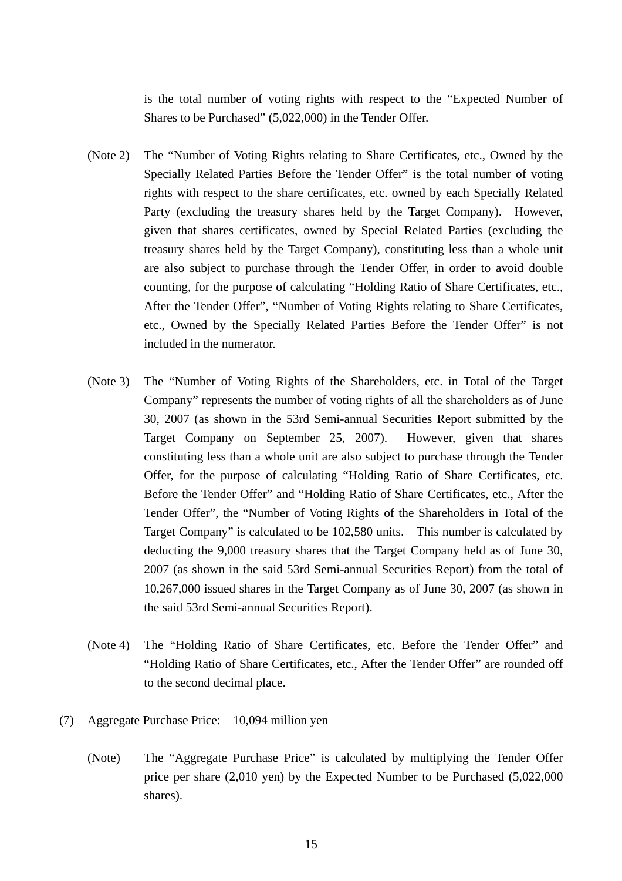is the total number of voting rights with respect to the "Expected Number of Shares to be Purchased" (5,022,000) in the Tender Offer.

- (Note 2) The "Number of Voting Rights relating to Share Certificates, etc., Owned by the Specially Related Parties Before the Tender Offer" is the total number of voting rights with respect to the share certificates, etc. owned by each Specially Related Party (excluding the treasury shares held by the Target Company). However, given that shares certificates, owned by Special Related Parties (excluding the treasury shares held by the Target Company), constituting less than a whole unit are also subject to purchase through the Tender Offer, in order to avoid double counting, for the purpose of calculating "Holding Ratio of Share Certificates, etc., After the Tender Offer", "Number of Voting Rights relating to Share Certificates, etc., Owned by the Specially Related Parties Before the Tender Offer" is not included in the numerator.
- (Note 3) The "Number of Voting Rights of the Shareholders, etc. in Total of the Target Company" represents the number of voting rights of all the shareholders as of June 30, 2007 (as shown in the 53rd Semi-annual Securities Report submitted by the Target Company on September 25, 2007). However, given that shares constituting less than a whole unit are also subject to purchase through the Tender Offer, for the purpose of calculating "Holding Ratio of Share Certificates, etc. Before the Tender Offer" and "Holding Ratio of Share Certificates, etc., After the Tender Offer", the "Number of Voting Rights of the Shareholders in Total of the Target Company" is calculated to be 102,580 units. This number is calculated by deducting the 9,000 treasury shares that the Target Company held as of June 30, 2007 (as shown in the said 53rd Semi-annual Securities Report) from the total of 10,267,000 issued shares in the Target Company as of June 30, 2007 (as shown in the said 53rd Semi-annual Securities Report).
- (Note 4) The "Holding Ratio of Share Certificates, etc. Before the Tender Offer" and "Holding Ratio of Share Certificates, etc., After the Tender Offer" are rounded off to the second decimal place.
- (7) Aggregate Purchase Price: 10,094 million yen
	- (Note) The "Aggregate Purchase Price" is calculated by multiplying the Tender Offer price per share (2,010 yen) by the Expected Number to be Purchased (5,022,000 shares).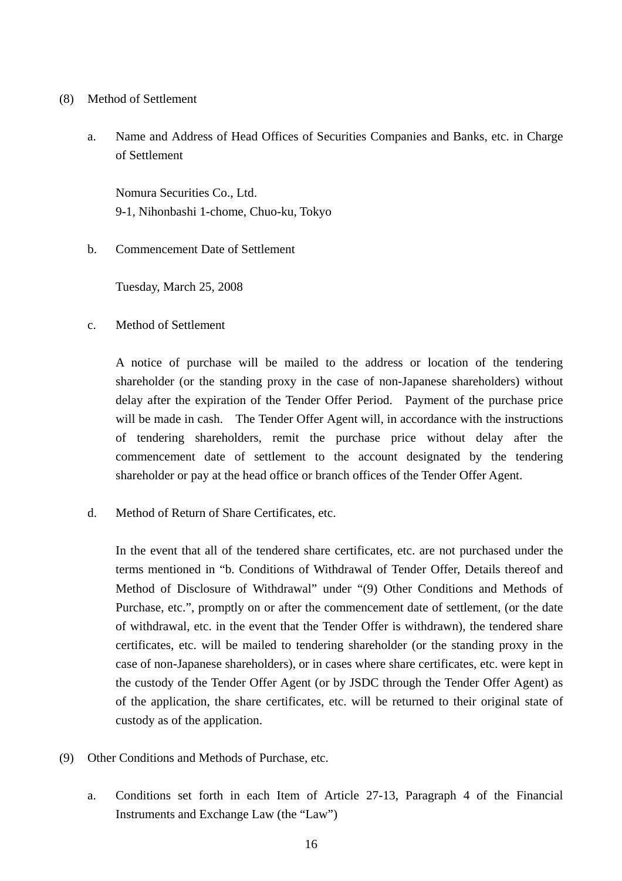## (8) Method of Settlement

a. Name and Address of Head Offices of Securities Companies and Banks, etc. in Charge of Settlement

Nomura Securities Co., Ltd. 9-1, Nihonbashi 1-chome, Chuo-ku, Tokyo

b. Commencement Date of Settlement

Tuesday, March 25, 2008

c. Method of Settlement

 A notice of purchase will be mailed to the address or location of the tendering shareholder (or the standing proxy in the case of non-Japanese shareholders) without delay after the expiration of the Tender Offer Period. Payment of the purchase price will be made in cash. The Tender Offer Agent will, in accordance with the instructions of tendering shareholders, remit the purchase price without delay after the commencement date of settlement to the account designated by the tendering shareholder or pay at the head office or branch offices of the Tender Offer Agent.

d. Method of Return of Share Certificates, etc.

 In the event that all of the tendered share certificates, etc. are not purchased under the terms mentioned in "b. Conditions of Withdrawal of Tender Offer, Details thereof and Method of Disclosure of Withdrawal" under "(9) Other Conditions and Methods of Purchase, etc.", promptly on or after the commencement date of settlement, (or the date of withdrawal, etc. in the event that the Tender Offer is withdrawn), the tendered share certificates, etc. will be mailed to tendering shareholder (or the standing proxy in the case of non-Japanese shareholders), or in cases where share certificates, etc. were kept in the custody of the Tender Offer Agent (or by JSDC through the Tender Offer Agent) as of the application, the share certificates, etc. will be returned to their original state of custody as of the application.

- (9) Other Conditions and Methods of Purchase, etc.
	- a. Conditions set forth in each Item of Article 27-13, Paragraph 4 of the Financial Instruments and Exchange Law (the "Law")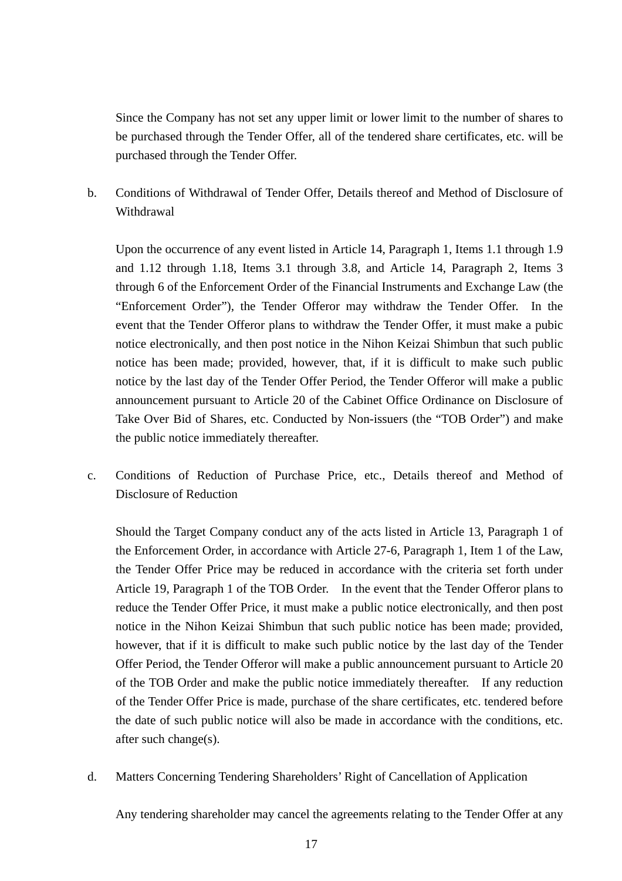Since the Company has not set any upper limit or lower limit to the number of shares to be purchased through the Tender Offer, all of the tendered share certificates, etc. will be purchased through the Tender Offer.

b. Conditions of Withdrawal of Tender Offer, Details thereof and Method of Disclosure of Withdrawal

Upon the occurrence of any event listed in Article 14, Paragraph 1, Items 1.1 through 1.9 and 1.12 through 1.18, Items 3.1 through 3.8, and Article 14, Paragraph 2, Items 3 through 6 of the Enforcement Order of the Financial Instruments and Exchange Law (the "Enforcement Order"), the Tender Offeror may withdraw the Tender Offer. In the event that the Tender Offeror plans to withdraw the Tender Offer, it must make a pubic notice electronically, and then post notice in the Nihon Keizai Shimbun that such public notice has been made; provided, however, that, if it is difficult to make such public notice by the last day of the Tender Offer Period, the Tender Offeror will make a public announcement pursuant to Article 20 of the Cabinet Office Ordinance on Disclosure of Take Over Bid of Shares, etc. Conducted by Non-issuers (the "TOB Order") and make the public notice immediately thereafter.

c. Conditions of Reduction of Purchase Price, etc., Details thereof and Method of Disclosure of Reduction

Should the Target Company conduct any of the acts listed in Article 13, Paragraph 1 of the Enforcement Order, in accordance with Article 27-6, Paragraph 1, Item 1 of the Law, the Tender Offer Price may be reduced in accordance with the criteria set forth under Article 19, Paragraph 1 of the TOB Order. In the event that the Tender Offeror plans to reduce the Tender Offer Price, it must make a public notice electronically, and then post notice in the Nihon Keizai Shimbun that such public notice has been made; provided, however, that if it is difficult to make such public notice by the last day of the Tender Offer Period, the Tender Offeror will make a public announcement pursuant to Article 20 of the TOB Order and make the public notice immediately thereafter. If any reduction of the Tender Offer Price is made, purchase of the share certificates, etc. tendered before the date of such public notice will also be made in accordance with the conditions, etc. after such change(s).

d. Matters Concerning Tendering Shareholders' Right of Cancellation of Application

Any tendering shareholder may cancel the agreements relating to the Tender Offer at any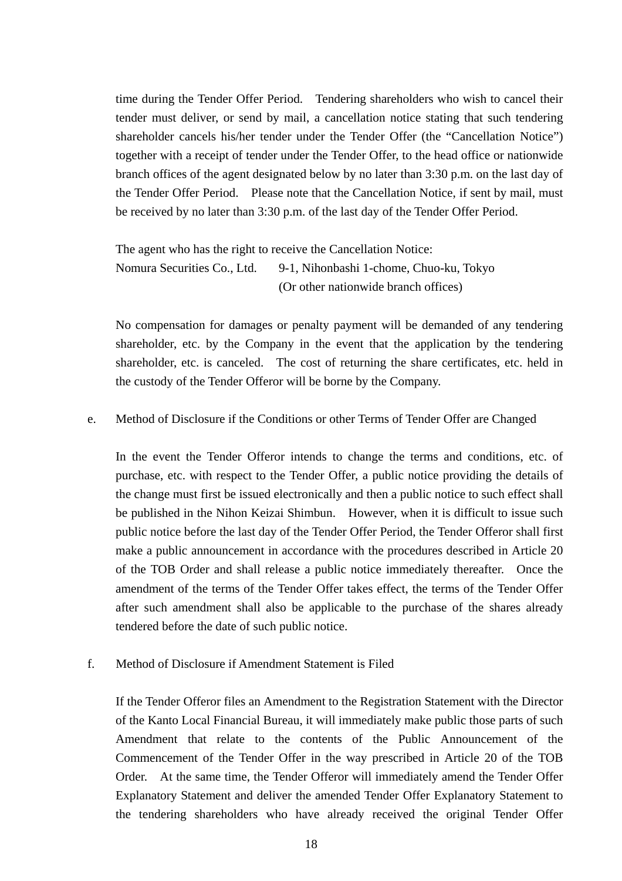time during the Tender Offer Period. Tendering shareholders who wish to cancel their tender must deliver, or send by mail, a cancellation notice stating that such tendering shareholder cancels his/her tender under the Tender Offer (the "Cancellation Notice") together with a receipt of tender under the Tender Offer, to the head office or nationwide branch offices of the agent designated below by no later than 3:30 p.m. on the last day of the Tender Offer Period. Please note that the Cancellation Notice, if sent by mail, must be received by no later than 3:30 p.m. of the last day of the Tender Offer Period.

The agent who has the right to receive the Cancellation Notice: Nomura Securities Co., Ltd. 9-1, Nihonbashi 1-chome, Chuo-ku, Tokyo (Or other nationwide branch offices)

No compensation for damages or penalty payment will be demanded of any tendering shareholder, etc. by the Company in the event that the application by the tendering shareholder, etc. is canceled. The cost of returning the share certificates, etc. held in the custody of the Tender Offeror will be borne by the Company.

#### e. Method of Disclosure if the Conditions or other Terms of Tender Offer are Changed

In the event the Tender Offeror intends to change the terms and conditions, etc. of purchase, etc. with respect to the Tender Offer, a public notice providing the details of the change must first be issued electronically and then a public notice to such effect shall be published in the Nihon Keizai Shimbun. However, when it is difficult to issue such public notice before the last day of the Tender Offer Period, the Tender Offeror shall first make a public announcement in accordance with the procedures described in Article 20 of the TOB Order and shall release a public notice immediately thereafter. Once the amendment of the terms of the Tender Offer takes effect, the terms of the Tender Offer after such amendment shall also be applicable to the purchase of the shares already tendered before the date of such public notice.

#### f. Method of Disclosure if Amendment Statement is Filed

If the Tender Offeror files an Amendment to the Registration Statement with the Director of the Kanto Local Financial Bureau, it will immediately make public those parts of such Amendment that relate to the contents of the Public Announcement of the Commencement of the Tender Offer in the way prescribed in Article 20 of the TOB Order. At the same time, the Tender Offeror will immediately amend the Tender Offer Explanatory Statement and deliver the amended Tender Offer Explanatory Statement to the tendering shareholders who have already received the original Tender Offer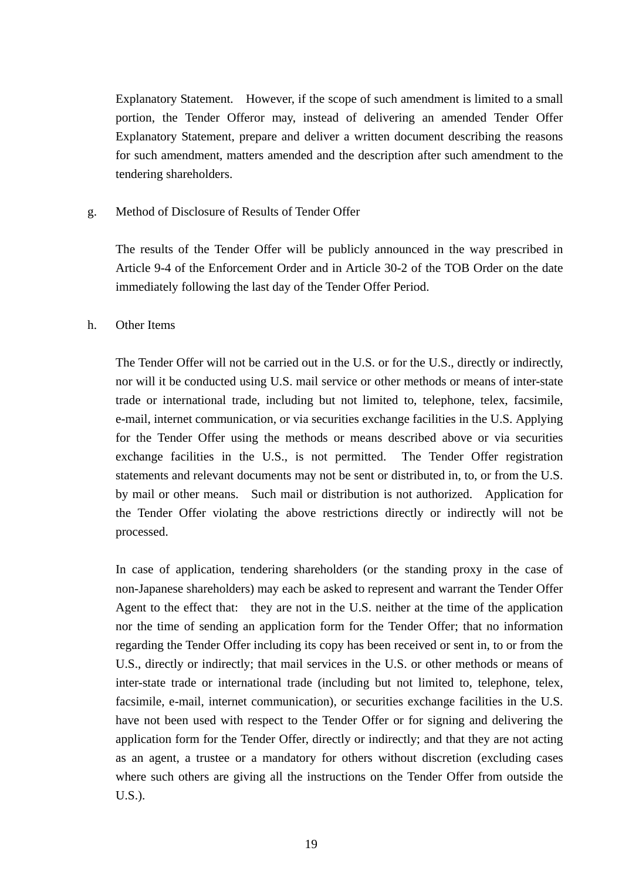Explanatory Statement. However, if the scope of such amendment is limited to a small portion, the Tender Offeror may, instead of delivering an amended Tender Offer Explanatory Statement, prepare and deliver a written document describing the reasons for such amendment, matters amended and the description after such amendment to the tendering shareholders.

#### g. Method of Disclosure of Results of Tender Offer

The results of the Tender Offer will be publicly announced in the way prescribed in Article 9-4 of the Enforcement Order and in Article 30-2 of the TOB Order on the date immediately following the last day of the Tender Offer Period.

#### h. Other Items

The Tender Offer will not be carried out in the U.S. or for the U.S., directly or indirectly, nor will it be conducted using U.S. mail service or other methods or means of inter-state trade or international trade, including but not limited to, telephone, telex, facsimile, e-mail, internet communication, or via securities exchange facilities in the U.S. Applying for the Tender Offer using the methods or means described above or via securities exchange facilities in the U.S., is not permitted. The Tender Offer registration statements and relevant documents may not be sent or distributed in, to, or from the U.S. by mail or other means. Such mail or distribution is not authorized. Application for the Tender Offer violating the above restrictions directly or indirectly will not be processed.

In case of application, tendering shareholders (or the standing proxy in the case of non-Japanese shareholders) may each be asked to represent and warrant the Tender Offer Agent to the effect that: they are not in the U.S. neither at the time of the application nor the time of sending an application form for the Tender Offer; that no information regarding the Tender Offer including its copy has been received or sent in, to or from the U.S., directly or indirectly; that mail services in the U.S. or other methods or means of inter-state trade or international trade (including but not limited to, telephone, telex, facsimile, e-mail, internet communication), or securities exchange facilities in the U.S. have not been used with respect to the Tender Offer or for signing and delivering the application form for the Tender Offer, directly or indirectly; and that they are not acting as an agent, a trustee or a mandatory for others without discretion (excluding cases where such others are giving all the instructions on the Tender Offer from outside the U.S.).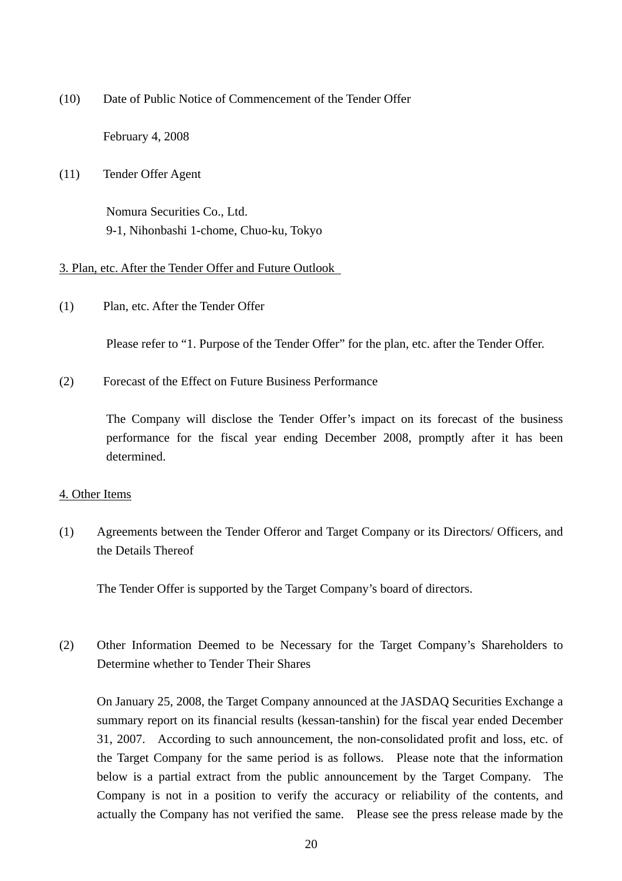(10) Date of Public Notice of Commencement of the Tender Offer

February 4, 2008

(11) Tender Offer Agent

Nomura Securities Co., Ltd. 9-1, Nihonbashi 1-chome, Chuo-ku, Tokyo

## 3. Plan, etc. After the Tender Offer and Future Outlook

(1) Plan, etc. After the Tender Offer

Please refer to "1. Purpose of the Tender Offer" for the plan, etc. after the Tender Offer.

(2) Forecast of the Effect on Future Business Performance

 The Company will disclose the Tender Offer's impact on its forecast of the business performance for the fiscal year ending December 2008, promptly after it has been determined.

### 4. Other Items

(1) Agreements between the Tender Offeror and Target Company or its Directors/ Officers, and the Details Thereof

The Tender Offer is supported by the Target Company's board of directors.

(2) Other Information Deemed to be Necessary for the Target Company's Shareholders to Determine whether to Tender Their Shares

 On January 25, 2008, the Target Company announced at the JASDAQ Securities Exchange a summary report on its financial results (kessan-tanshin) for the fiscal year ended December 31, 2007. According to such announcement, the non-consolidated profit and loss, etc. of the Target Company for the same period is as follows. Please note that the information below is a partial extract from the public announcement by the Target Company. The Company is not in a position to verify the accuracy or reliability of the contents, and actually the Company has not verified the same. Please see the press release made by the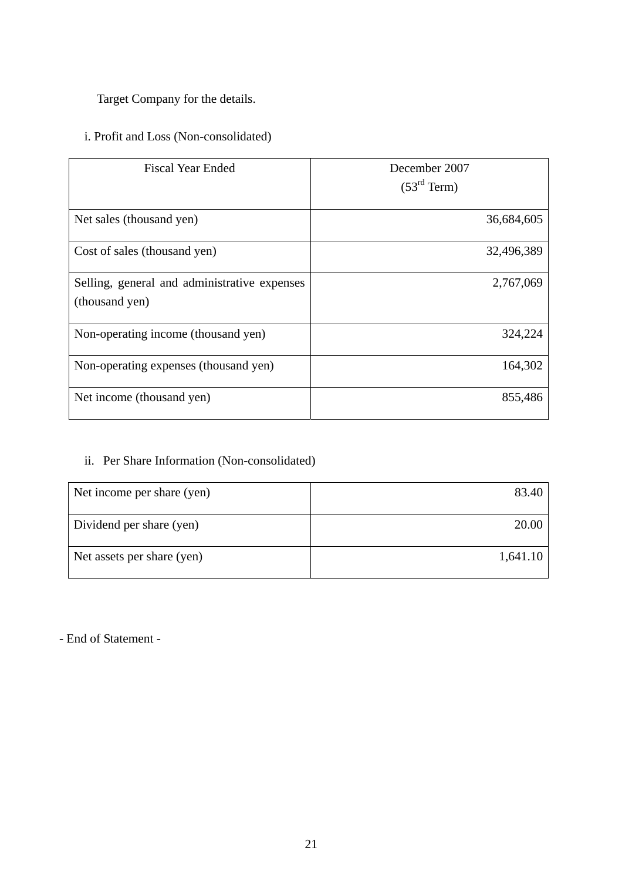Target Company for the details.

# i. Profit and Loss (Non-consolidated)

| <b>Fiscal Year Ended</b>                                       | December 2007<br>(53 <sup>rd</sup> Term) |
|----------------------------------------------------------------|------------------------------------------|
| Net sales (thousand yen)                                       | 36,684,605                               |
| Cost of sales (thousand yen)                                   | 32,496,389                               |
| Selling, general and administrative expenses<br>(thousand yen) | 2,767,069                                |
| Non-operating income (thousand yen)                            | 324,224                                  |
| Non-operating expenses (thousand yen)                          | 164,302                                  |
| Net income (thousand yen)                                      | 855,486                                  |

## ii. Per Share Information (Non-consolidated)

| Net income per share (yen) | 83.40    |
|----------------------------|----------|
| Dividend per share (yen)   | 20.00    |
| Net assets per share (yen) | 1,641.10 |

- End of Statement -